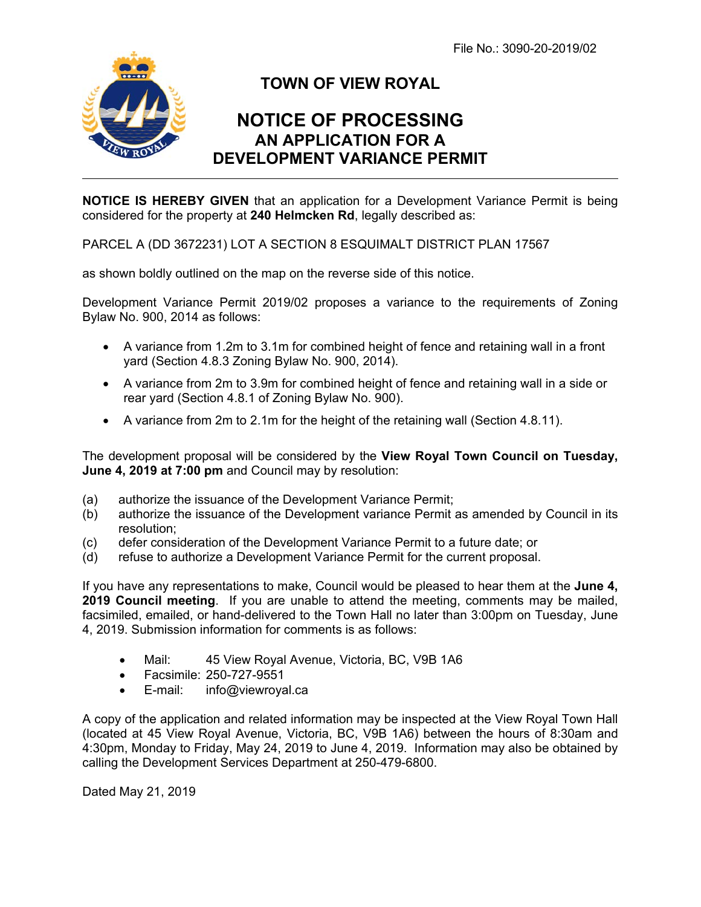File No.: 3090-20-2019/02



## **TOWN OF VIEW ROYAL**

## **NOTICE OF PROCESSING AN APPLICATION FOR A DEVELOPMENT VARIANCE PERMIT**

**NOTICE IS HEREBY GIVEN** that an application for a Development Variance Permit is being considered for the property at **240 Helmcken Rd**, legally described as:

PARCEL A (DD 3672231) LOT A SECTION 8 ESQUIMALT DISTRICT PLAN 17567

as shown boldly outlined on the map on the reverse side of this notice.

Development Variance Permit 2019/02 proposes a variance to the requirements of Zoning Bylaw No. 900, 2014 as follows:

- A variance from 1.2m to 3.1m for combined height of fence and retaining wall in a front yard (Section 4.8.3 Zoning Bylaw No. 900, 2014).
- A variance from 2m to 3.9m for combined height of fence and retaining wall in a side or rear yard (Section 4.8.1 of Zoning Bylaw No. 900).
- $\bullet$  A variance from 2m to 2.1m for the height of the retaining wall (Section 4.8.11).

The development proposal will be considered by the **View Royal Town Council on Tuesday, June 4, 2019 at 7:00 pm** and Council may by resolution:

- (a) authorize the issuance of the Development Variance Permit;
- (b) authorize the issuance of the Development variance Permit as amended by Council in its resolution;
- (c) defer consideration of the Development Variance Permit to a future date; or
- (d) refuse to authorize a Development Variance Permit for the current proposal.

If you have any representations to make, Council would be pleased to hear them at the **June 4, 2019 Council meeting**. If you are unable to attend the meeting, comments may be mailed, facsimiled, emailed, or hand-delivered to the Town Hall no later than 3:00pm on Tuesday, June 4, 2019. Submission information for comments is as follows:

- Mail: 45 View Royal Avenue, Victoria, BC, V9B 1A6
- Facsimile: 250-727-9551
- E-mail: info@viewroyal.ca

A copy of the application and related information may be inspected at the View Royal Town Hall (located at 45 View Royal Avenue, Victoria, BC, V9B 1A6) between the hours of 8:30am and 4:30pm, Monday to Friday, May 24, 2019 to June 4, 2019. Information may also be obtained by calling the Development Services Department at 250-479-6800.

Dated May 21, 2019